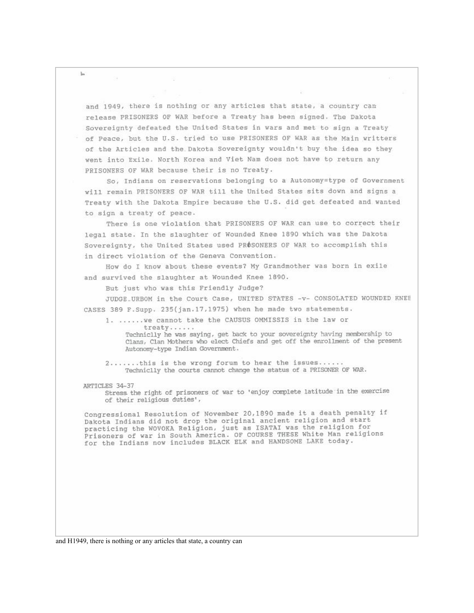and 1949, there is nothing or any articles that state, a country can release PRISONERS OF WAR before a Treaty has been signed. The Dakota Sovereignty defeated the United States in wars and met to sign a Treaty of Peace, but the U.S. tried to use PRISONERS OF WAR as the Main writters of the Articles and the Dakota Sovereignty wouldn't buy the idea so they went into Exile. North Korea and Viet Nam does not have to return any PRISONERS OF WAR because their is no Treaty.

So, Indians on reservations belonging to a Autonomy=type of Government will remain PRISONERS OF WAR till the United States sits down and signs a Treaty with the Dakota Empire because the U.S. did get defeated and wanted to sign a treaty of peace.

There is one violation that PRISONERS OF WAR can use to correct their legal state. In the slaughter of Wounded Knee 1890 which was the Dakota Sovereignty, the United States used PROSONERS OF WAR to accomplish this in direct violation of the Geneva Convention.

How do I know about these events? My Grandmother was born in exile and survived the slaughter at Wounded Knee 1890.

But just who was this Friendly Judge?

JUDGE\_URBOM in the Court Case, UNITED STATES -v- CONSOLATED WOUNDED KNEE CASES 389 F.Supp. 235(jan.17,1975) when he made two statements.

1. ...... we cannot take the CAUSUS OMMISSIS in the law or treaty......

Techniclly he was saying, get back to your sovereignty having membership to Clans, Clan Mothers who elect Chiefs and get off the enrollment of the present Autonomy-type Indian Government.

2......this is the wrong forum to hear the issues...... Techniclly the courts cannot change the status of a PRISONER OF WAR.

## ARTICLES 34-37

Stress the right of prisoners of war to 'enjoy complete latitude in the exercise of their religious duties',

Congressional Resolution of November 20,1890 made it a death penalty if Dakota Indians did not drop the original ancient religion and start practicing the WOVOKA Religion, just as ISATAI was the religion for Prisoners of war in South America. OF COURSE THESE White Man religions for the Indians now includes BLACK ELK and HANDSOME LAKE today.

and H1949, there is nothing or any articles that state, a country can